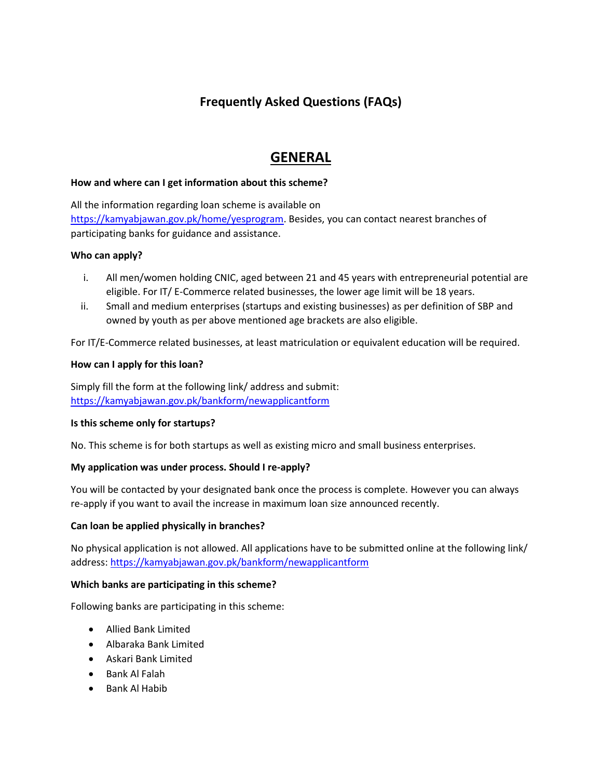# **Frequently Asked Questions (FAQs)**

# **GENERAL**

## **How and where can I get information about this scheme?**

All the information regarding loan scheme is available on [https://kamyabjawan.gov.pk/home/yesprogram.](https://kamyabjawan.gov.pk/home/yesprogram) Besides, you can contact nearest branches of participating banks for guidance and assistance.

## **Who can apply?**

- i. All men/women holding CNIC, aged between 21 and 45 years with entrepreneurial potential are eligible. For IT/ E-Commerce related businesses, the lower age limit will be 18 years.
- ii. Small and medium enterprises (startups and existing businesses) as per definition of SBP and owned by youth as per above mentioned age brackets are also eligible.

For IT/E-Commerce related businesses, at least matriculation or equivalent education will be required.

## **How can I apply for this loan?**

Simply fill the form at the following link/ address and submit: <https://kamyabjawan.gov.pk/bankform/newapplicantform>

## **Is this scheme only for startups?**

No. This scheme is for both startups as well as existing micro and small business enterprises.

## **My application was under process. Should I re-apply?**

You will be contacted by your designated bank once the process is complete. However you can always re-apply if you want to avail the increase in maximum loan size announced recently.

## **Can loan be applied physically in branches?**

No physical application is not allowed. All applications have to be submitted online at the following link/ address:<https://kamyabjawan.gov.pk/bankform/newapplicantform>

## **Which banks are participating in this scheme?**

Following banks are participating in this scheme:

- Allied Bank Limited
- Albaraka Bank Limited
- Askari Bank Limited
- Bank Al Falah
- Bank Al Habib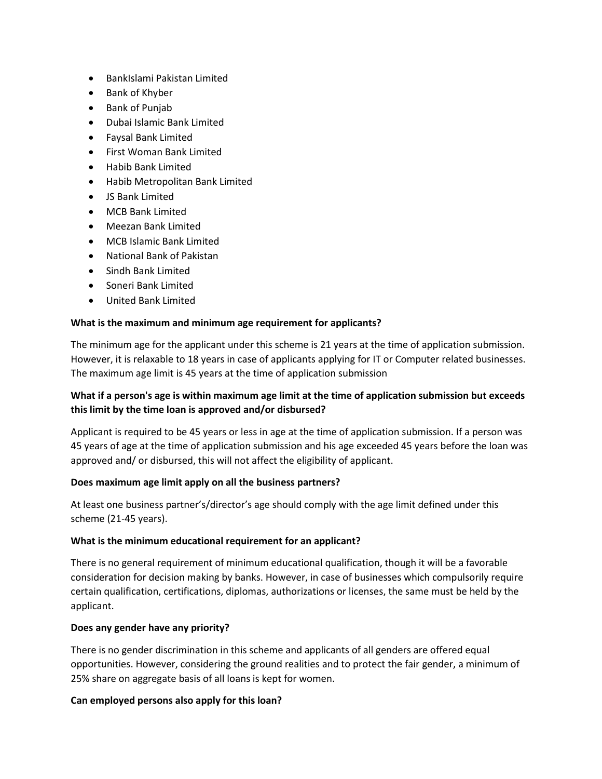- BankIslami Pakistan Limited
- Bank of Khyber
- Bank of Punjab
- Dubai Islamic Bank Limited
- Faysal Bank Limited
- First Woman Bank Limited
- Habib Bank Limited
- Habib Metropolitan Bank Limited
- JS Bank Limited
- MCB Bank Limited
- Meezan Bank Limited
- MCB Islamic Bank Limited
- National Bank of Pakistan
- Sindh Bank Limited
- Soneri Bank Limited
- United Bank Limited

## **What is the maximum and minimum age requirement for applicants?**

The minimum age for the applicant under this scheme is 21 years at the time of application submission. However, it is relaxable to 18 years in case of applicants applying for IT or Computer related businesses. The maximum age limit is 45 years at the time of application submission

## **What if a person's age is within maximum age limit at the time of application submission but exceeds this limit by the time loan is approved and/or disbursed?**

Applicant is required to be 45 years or less in age at the time of application submission. If a person was 45 years of age at the time of application submission and his age exceeded 45 years before the loan was approved and/ or disbursed, this will not affect the eligibility of applicant.

## **Does maximum age limit apply on all the business partners?**

At least one business partner's/director's age should comply with the age limit defined under this scheme (21-45 years).

## **What is the minimum educational requirement for an applicant?**

There is no general requirement of minimum educational qualification, though it will be a favorable consideration for decision making by banks. However, in case of businesses which compulsorily require certain qualification, certifications, diplomas, authorizations or licenses, the same must be held by the applicant.

## **Does any gender have any priority?**

There is no gender discrimination in this scheme and applicants of all genders are offered equal opportunities. However, considering the ground realities and to protect the fair gender, a minimum of 25% share on aggregate basis of all loans is kept for women.

## **Can employed persons also apply for this loan?**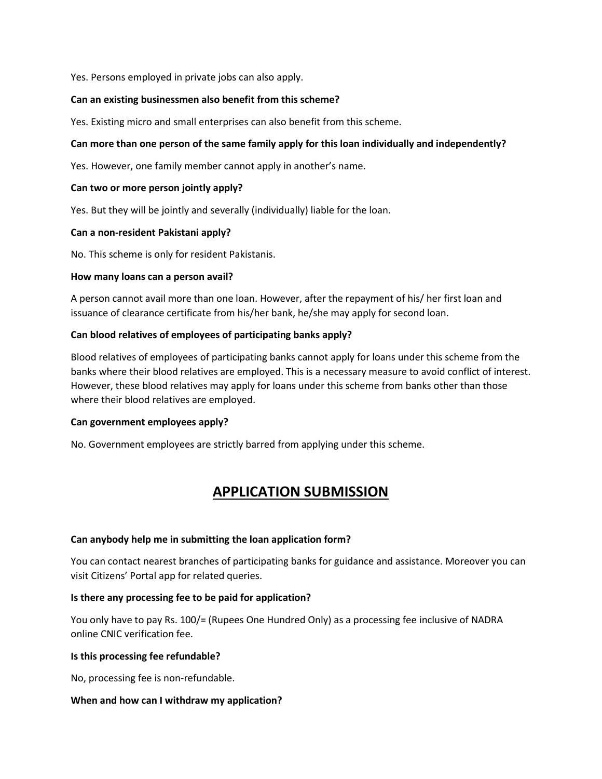Yes. Persons employed in private jobs can also apply.

### **Can an existing businessmen also benefit from this scheme?**

Yes. Existing micro and small enterprises can also benefit from this scheme.

## **Can more than one person of the same family apply for this loan individually and independently?**

Yes. However, one family member cannot apply in another's name.

#### **Can two or more person jointly apply?**

Yes. But they will be jointly and severally (individually) liable for the loan.

#### **Can a non-resident Pakistani apply?**

No. This scheme is only for resident Pakistanis.

#### **How many loans can a person avail?**

A person cannot avail more than one loan. However, after the repayment of his/ her first loan and issuance of clearance certificate from his/her bank, he/she may apply for second loan.

#### **Can blood relatives of employees of participating banks apply?**

Blood relatives of employees of participating banks cannot apply for loans under this scheme from the banks where their blood relatives are employed. This is a necessary measure to avoid conflict of interest. However, these blood relatives may apply for loans under this scheme from banks other than those where their blood relatives are employed.

#### **Can government employees apply?**

No. Government employees are strictly barred from applying under this scheme.

# **APPLICATION SUBMISSION**

#### **Can anybody help me in submitting the loan application form?**

You can contact nearest branches of participating banks for guidance and assistance. Moreover you can visit Citizens' Portal app for related queries.

## **Is there any processing fee to be paid for application?**

You only have to pay Rs. 100/= (Rupees One Hundred Only) as a processing fee inclusive of NADRA online CNIC verification fee.

#### **Is this processing fee refundable?**

No, processing fee is non-refundable.

## **When and how can I withdraw my application?**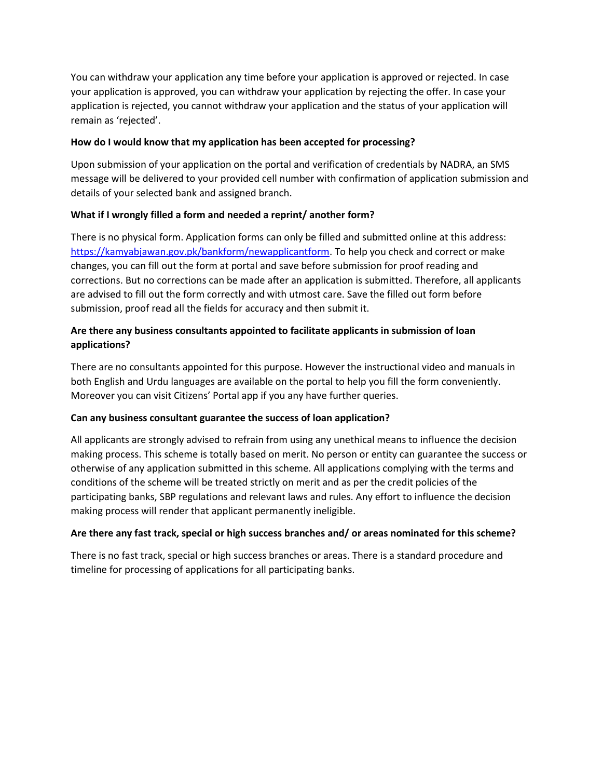You can withdraw your application any time before your application is approved or rejected. In case your application is approved, you can withdraw your application by rejecting the offer. In case your application is rejected, you cannot withdraw your application and the status of your application will remain as 'rejected'.

## **How do I would know that my application has been accepted for processing?**

Upon submission of your application on the portal and verification of credentials by NADRA, an SMS message will be delivered to your provided cell number with confirmation of application submission and details of your selected bank and assigned branch.

## **What if I wrongly filled a form and needed a reprint/ another form?**

There is no physical form. Application forms can only be filled and submitted online at this address: [https://kamyabjawan.gov.pk/bankform/newapplicantform.](https://kamyabjawan.gov.pk/bankform/newapplicantform) To help you check and correct or make changes, you can fill out the form at portal and save before submission for proof reading and corrections. But no corrections can be made after an application is submitted. Therefore, all applicants are advised to fill out the form correctly and with utmost care. Save the filled out form before submission, proof read all the fields for accuracy and then submit it.

## **Are there any business consultants appointed to facilitate applicants in submission of loan applications?**

There are no consultants appointed for this purpose. However the instructional video and manuals in both English and Urdu languages are available on the portal to help you fill the form conveniently. Moreover you can visit Citizens' Portal app if you any have further queries.

## **Can any business consultant guarantee the success of loan application?**

All applicants are strongly advised to refrain from using any unethical means to influence the decision making process. This scheme is totally based on merit. No person or entity can guarantee the success or otherwise of any application submitted in this scheme. All applications complying with the terms and conditions of the scheme will be treated strictly on merit and as per the credit policies of the participating banks, SBP regulations and relevant laws and rules. Any effort to influence the decision making process will render that applicant permanently ineligible.

## **Are there any fast track, special or high success branches and/ or areas nominated for this scheme?**

There is no fast track, special or high success branches or areas. There is a standard procedure and timeline for processing of applications for all participating banks.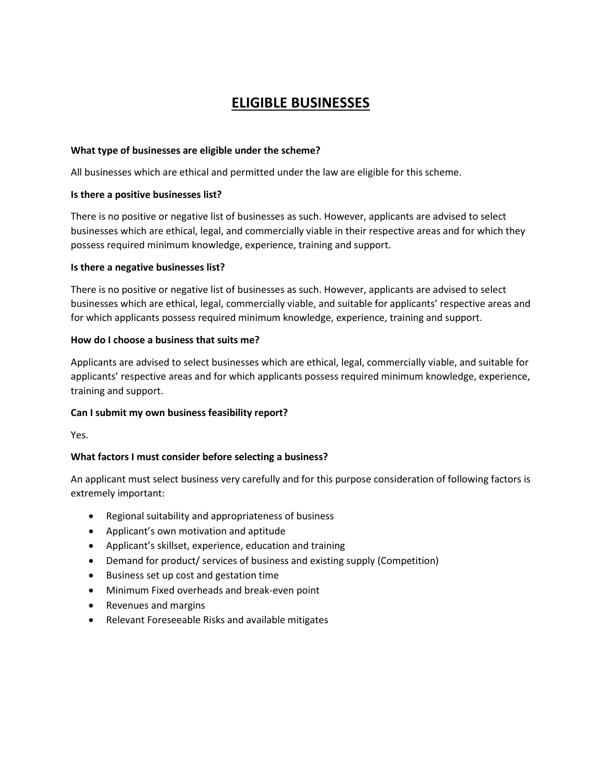# **ELIGIBLE BUSINESSES**

### **What type of businesses are eligible under the scheme?**

All businesses which are ethical and permitted under the law are eligible for this scheme.

### **Is there a positive businesses list?**

There is no positive or negative list of businesses as such. However, applicants are advised to select businesses which are ethical, legal, and commercially viable in their respective areas and for which they possess required minimum knowledge, experience, training and support.

#### **Is there a negative businesses list?**

There is no positive or negative list of businesses as such. However, applicants are advised to select businesses which are ethical, legal, commercially viable, and suitable for applicants' respective areas and for which applicants possess required minimum knowledge, experience, training and support.

## **How do I choose a business that suits me?**

Applicants are advised to select businesses which are ethical, legal, commercially viable, and suitable for applicants' respective areas and for which applicants possess required minimum knowledge, experience, training and support.

## **Can I submit my own business feasibility report?**

Yes.

## **What factors I must consider before selecting a business?**

An applicant must select business very carefully and for this purpose consideration of following factors is extremely important:

- Regional suitability and appropriateness of business
- Applicant's own motivation and aptitude
- Applicant's skillset, experience, education and training
- Demand for product/ services of business and existing supply (Competition)
- Business set up cost and gestation time
- Minimum Fixed overheads and break-even point
- Revenues and margins
- Relevant Foreseeable Risks and available mitigates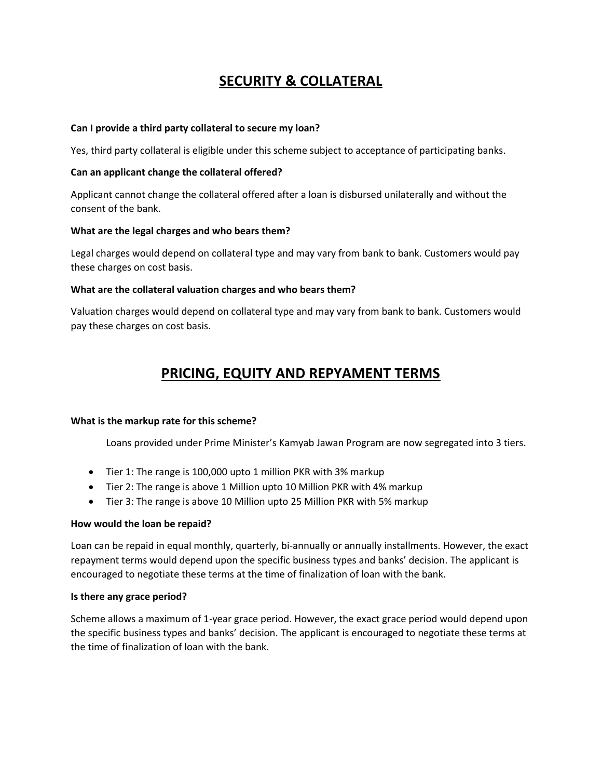# **SECURITY & COLLATERAL**

### **Can I provide a third party collateral to secure my loan?**

Yes, third party collateral is eligible under this scheme subject to acceptance of participating banks.

#### **Can an applicant change the collateral offered?**

Applicant cannot change the collateral offered after a loan is disbursed unilaterally and without the consent of the bank.

#### **What are the legal charges and who bears them?**

Legal charges would depend on collateral type and may vary from bank to bank. Customers would pay these charges on cost basis.

#### **What are the collateral valuation charges and who bears them?**

Valuation charges would depend on collateral type and may vary from bank to bank. Customers would pay these charges on cost basis.

# **PRICING, EQUITY AND REPYAMENT TERMS**

#### **What is the markup rate for this scheme?**

Loans provided under Prime Minister's Kamyab Jawan Program are now segregated into 3 tiers.

- Tier 1: The range is 100,000 upto 1 million PKR with 3% markup
- Tier 2: The range is above 1 Million upto 10 Million PKR with 4% markup
- Tier 3: The range is above 10 Million upto 25 Million PKR with 5% markup

#### **How would the loan be repaid?**

Loan can be repaid in equal monthly, quarterly, bi-annually or annually installments. However, the exact repayment terms would depend upon the specific business types and banks' decision. The applicant is encouraged to negotiate these terms at the time of finalization of loan with the bank.

#### **Is there any grace period?**

Scheme allows a maximum of 1-year grace period. However, the exact grace period would depend upon the specific business types and banks' decision. The applicant is encouraged to negotiate these terms at the time of finalization of loan with the bank.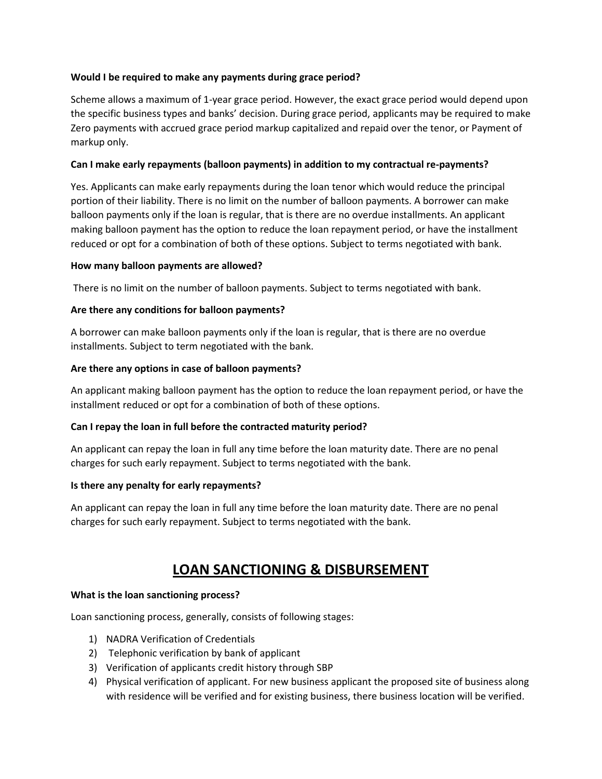## **Would I be required to make any payments during grace period?**

Scheme allows a maximum of 1-year grace period. However, the exact grace period would depend upon the specific business types and banks' decision. During grace period, applicants may be required to make Zero payments with accrued grace period markup capitalized and repaid over the tenor, or Payment of markup only.

## **Can I make early repayments (balloon payments) in addition to my contractual re-payments?**

Yes. Applicants can make early repayments during the loan tenor which would reduce the principal portion of their liability. There is no limit on the number of balloon payments. A borrower can make balloon payments only if the loan is regular, that is there are no overdue installments. An applicant making balloon payment has the option to reduce the loan repayment period, or have the installment reduced or opt for a combination of both of these options. Subject to terms negotiated with bank.

## **How many balloon payments are allowed?**

There is no limit on the number of balloon payments. Subject to terms negotiated with bank.

## **Are there any conditions for balloon payments?**

A borrower can make balloon payments only if the loan is regular, that is there are no overdue installments. Subject to term negotiated with the bank.

## **Are there any options in case of balloon payments?**

An applicant making balloon payment has the option to reduce the loan repayment period, or have the installment reduced or opt for a combination of both of these options.

## **Can I repay the loan in full before the contracted maturity period?**

An applicant can repay the loan in full any time before the loan maturity date. There are no penal charges for such early repayment. Subject to terms negotiated with the bank.

## **Is there any penalty for early repayments?**

An applicant can repay the loan in full any time before the loan maturity date. There are no penal charges for such early repayment. Subject to terms negotiated with the bank.

# **LOAN SANCTIONING & DISBURSEMENT**

## **What is the loan sanctioning process?**

Loan sanctioning process, generally, consists of following stages:

- 1) NADRA Verification of Credentials
- 2) Telephonic verification by bank of applicant
- 3) Verification of applicants credit history through SBP
- 4) Physical verification of applicant. For new business applicant the proposed site of business along with residence will be verified and for existing business, there business location will be verified.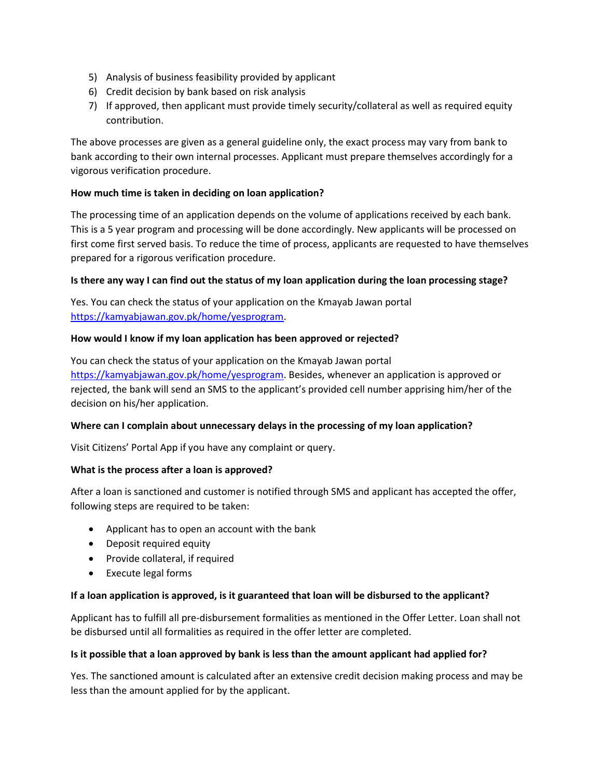- 5) Analysis of business feasibility provided by applicant
- 6) Credit decision by bank based on risk analysis
- 7) If approved, then applicant must provide timely security/collateral as well as required equity contribution.

The above processes are given as a general guideline only, the exact process may vary from bank to bank according to their own internal processes. Applicant must prepare themselves accordingly for a vigorous verification procedure.

## **How much time is taken in deciding on loan application?**

The processing time of an application depends on the volume of applications received by each bank. This is a 5 year program and processing will be done accordingly. New applicants will be processed on first come first served basis. To reduce the time of process, applicants are requested to have themselves prepared for a rigorous verification procedure.

#### **Is there any way I can find out the status of my loan application during the loan processing stage?**

Yes. You can check the status of your application on the Kmayab Jawan portal [https://kamyabjawan.gov.pk/home/yesprogram.](https://kamyabjawan.gov.pk/home/yesprogram)

#### **How would I know if my loan application has been approved or rejected?**

You can check the status of your application on the Kmayab Jawan portal [https://kamyabjawan.gov.pk/home/yesprogram.](https://kamyabjawan.gov.pk/home/yesprogram) Besides, whenever an application is approved or rejected, the bank will send an SMS to the applicant's provided cell number apprising him/her of the decision on his/her application.

#### **Where can I complain about unnecessary delays in the processing of my loan application?**

Visit Citizens' Portal App if you have any complaint or query.

#### **What is the process after a loan is approved?**

After a loan is sanctioned and customer is notified through SMS and applicant has accepted the offer, following steps are required to be taken:

- Applicant has to open an account with the bank
- Deposit required equity
- Provide collateral, if required
- Execute legal forms

#### **If a loan application is approved, is it guaranteed that loan will be disbursed to the applicant?**

Applicant has to fulfill all pre-disbursement formalities as mentioned in the Offer Letter. Loan shall not be disbursed until all formalities as required in the offer letter are completed.

#### **Is it possible that a loan approved by bank is less than the amount applicant had applied for?**

Yes. The sanctioned amount is calculated after an extensive credit decision making process and may be less than the amount applied for by the applicant.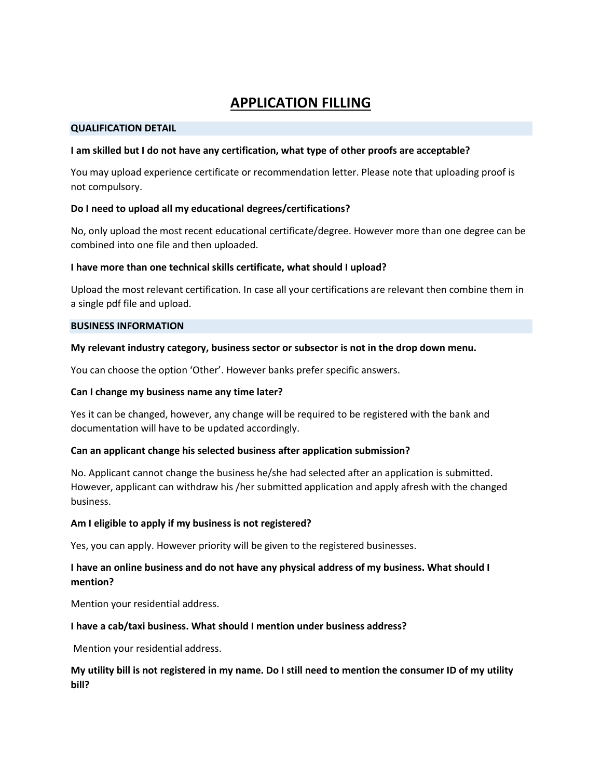# **APPLICATION FILLING**

#### **QUALIFICATION DETAIL**

#### **I am skilled but I do not have any certification, what type of other proofs are acceptable?**

You may upload experience certificate or recommendation letter. Please note that uploading proof is not compulsory.

#### **Do I need to upload all my educational degrees/certifications?**

No, only upload the most recent educational certificate/degree. However more than one degree can be combined into one file and then uploaded.

#### **I have more than one technical skills certificate, what should I upload?**

Upload the most relevant certification. In case all your certifications are relevant then combine them in a single pdf file and upload.

#### **BUSINESS INFORMATION**

#### **My relevant industry category, business sector or subsector is not in the drop down menu.**

You can choose the option 'Other'. However banks prefer specific answers.

#### **Can I change my business name any time later?**

Yes it can be changed, however, any change will be required to be registered with the bank and documentation will have to be updated accordingly.

#### **Can an applicant change his selected business after application submission?**

No. Applicant cannot change the business he/she had selected after an application is submitted. However, applicant can withdraw his /her submitted application and apply afresh with the changed business.

#### **Am I eligible to apply if my business is not registered?**

Yes, you can apply. However priority will be given to the registered businesses.

## **I have an online business and do not have any physical address of my business. What should I mention?**

Mention your residential address.

#### **I have a cab/taxi business. What should I mention under business address?**

Mention your residential address.

## **My utility bill is not registered in my name. Do I still need to mention the consumer ID of my utility bill?**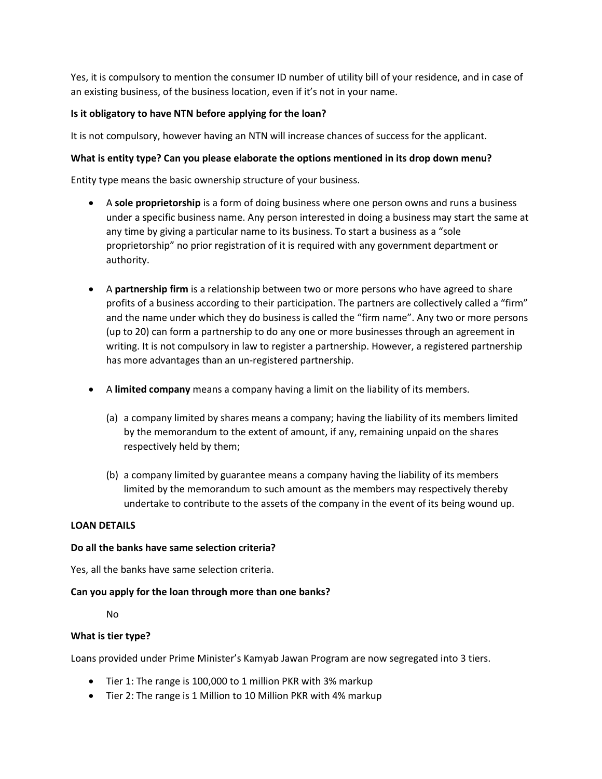Yes, it is compulsory to mention the consumer ID number of utility bill of your residence, and in case of an existing business, of the business location, even if it's not in your name.

## **Is it obligatory to have NTN before applying for the loan?**

It is not compulsory, however having an NTN will increase chances of success for the applicant.

## **What is entity type? Can you please elaborate the options mentioned in its drop down menu?**

Entity type means the basic ownership structure of your business.

- A **sole proprietorship** is a form of doing business where one person owns and runs a business under a specific business name. Any person interested in doing a business may start the same at any time by giving a particular name to its business. To start a business as a "sole proprietorship" no prior registration of it is required with any government department or authority.
- A **partnership firm** is a relationship between two or more persons who have agreed to share profits of a business according to their participation. The partners are collectively called a "firm" and the name under which they do business is called the "firm name". Any two or more persons (up to 20) can form a partnership to do any one or more businesses through an agreement in writing. It is not compulsory in law to register a partnership. However, a registered partnership has more advantages than an un-registered partnership.
- A **limited company** means a company having a limit on the liability of its members.
	- (a) a company limited by shares means a company; having the liability of its members limited by the memorandum to the extent of amount, if any, remaining unpaid on the shares respectively held by them;
	- (b) a company limited by guarantee means a company having the liability of its members limited by the memorandum to such amount as the members may respectively thereby undertake to contribute to the assets of the company in the event of its being wound up.

## **LOAN DETAILS**

## **Do all the banks have same selection criteria?**

Yes, all the banks have same selection criteria.

## **Can you apply for the loan through more than one banks?**

No

## **What is tier type?**

Loans provided under Prime Minister's Kamyab Jawan Program are now segregated into 3 tiers.

- Tier 1: The range is 100,000 to 1 million PKR with 3% markup
- Tier 2: The range is 1 Million to 10 Million PKR with 4% markup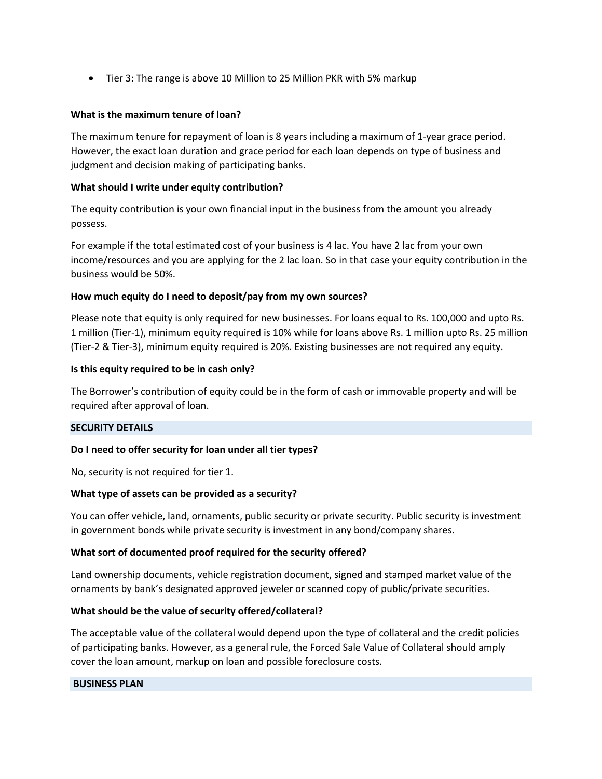Tier 3: The range is above 10 Million to 25 Million PKR with 5% markup

### **What is the maximum tenure of loan?**

The maximum tenure for repayment of loan is 8 years including a maximum of 1-year grace period. However, the exact loan duration and grace period for each loan depends on type of business and judgment and decision making of participating banks.

### **What should I write under equity contribution?**

The equity contribution is your own financial input in the business from the amount you already possess.

For example if the total estimated cost of your business is 4 lac. You have 2 lac from your own income/resources and you are applying for the 2 lac loan. So in that case your equity contribution in the business would be 50%.

#### **How much equity do I need to deposit/pay from my own sources?**

Please note that equity is only required for new businesses. For loans equal to Rs. 100,000 and upto Rs. 1 million (Tier-1), minimum equity required is 10% while for loans above Rs. 1 million upto Rs. 25 million (Tier-2 & Tier-3), minimum equity required is 20%. Existing businesses are not required any equity.

#### **Is this equity required to be in cash only?**

The Borrower's contribution of equity could be in the form of cash or immovable property and will be required after approval of loan.

## **SECURITY DETAILS**

## **Do I need to offer security for loan under all tier types?**

No, security is not required for tier 1.

#### **What type of assets can be provided as a security?**

You can offer vehicle, land, ornaments, public security or private security. Public security is investment in government bonds while private security is investment in any bond/company shares.

#### **What sort of documented proof required for the security offered?**

Land ownership documents, vehicle registration document, signed and stamped market value of the ornaments by bank's designated approved jeweler or scanned copy of public/private securities.

## **What should be the value of security offered/collateral?**

The acceptable value of the collateral would depend upon the type of collateral and the credit policies of participating banks. However, as a general rule, the Forced Sale Value of Collateral should amply cover the loan amount, markup on loan and possible foreclosure costs.

#### **BUSINESS PLAN**